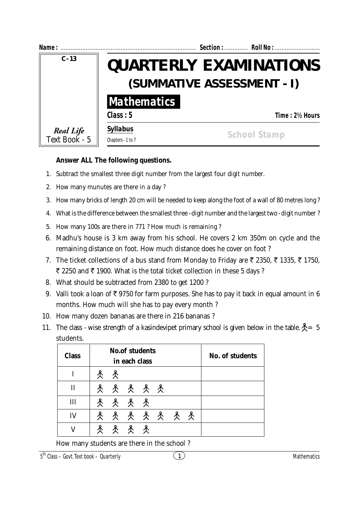

## **Answer ALL The following questions.**

- 1. Subtract the smallest three digit number from the largest four digit number.
- 2. How many munutes are there in a day ?
- 3. How many bricks of length 20 cm will be needed to keep along the foot of a wall of 80 metres long ?
- 4. What is the difference between the smallest three digit number and the largest two digit number ?
- 5. How many 100s are there in 771 ? How much is remaining ?
- 6. Madhu's house is 3 km away from his school. He covers 2 km 350m on cycle and the remaining distance on foot. How much distance does he cover on foot ?
- 7. The ticket collections of a bus stand from Monday to Friday are  $\bar{\tau}$  2350,  $\bar{\tau}$  1335,  $\bar{\tau}$  1750, ₹ 2250 and ₹ 1900. What is the total ticket collection in these 5 days ?
- 8. What should be subtracted from 2380 to get 1200 ?
- 9. Valli took a loan of  $\bar{\tau}$  9750 for farm purposes. She has to pay it back in equal amount in 6 months. How much will she has to pay every month ?
- 10. How many dozen bananas are there in 216 bananas ?
- 11. The class wise strength of a kasindevipet primary school is given below in the table.  $\mathcal{R} = 5$ students.

| <b>Class</b> | <b>No.of students</b><br>in each class | <b>No. of students</b> |
|--------------|----------------------------------------|------------------------|
|              | & &                                    |                        |
| $\mathbf{I}$ | <b>冬 冬 冬 冬 冬</b>                       |                        |
| III          | <b>冬冬冬冬</b>                            |                        |
| IV           | <b>冬 冬 冬 冬 冬 冬</b>                     |                        |
|              | 8 8 8<br>$\mathcal{R}^-$               |                        |

How many students are there in the school ?

 $5<sup>th</sup> Class - Govt. Text book - Quarterlv$  (1)